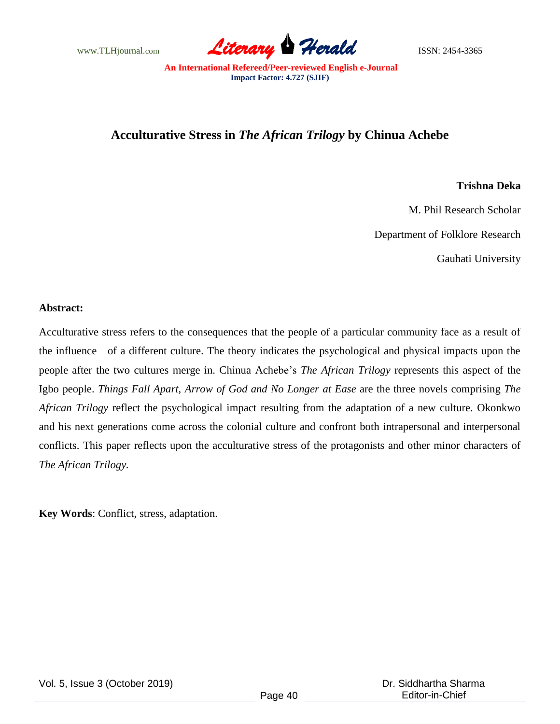www.TLHjournal.com **Literary Herald Herald ISSN: 2454-3365** 

## **Acculturative Stress in** *The African Trilogy* **by Chinua Achebe**

## **Trishna Deka**

M. Phil Research Scholar

Department of Folklore Research

Gauhati University

## **Abstract:**

Acculturative stress refers to the consequences that the people of a particular community face as a result of the influence of a different culture. The theory indicates the psychological and physical impacts upon the people after the two cultures merge in. Chinua Achebe"s *The African Trilogy* represents this aspect of the Igbo people. *Things Fall Apart, Arrow of God and No Longer at Ease* are the three novels comprising *The African Trilogy* reflect the psychological impact resulting from the adaptation of a new culture. Okonkwo and his next generations come across the colonial culture and confront both intrapersonal and interpersonal conflicts. This paper reflects upon the acculturative stress of the protagonists and other minor characters of *The African Trilogy.*

**Key Words**: Conflict, stress, adaptation.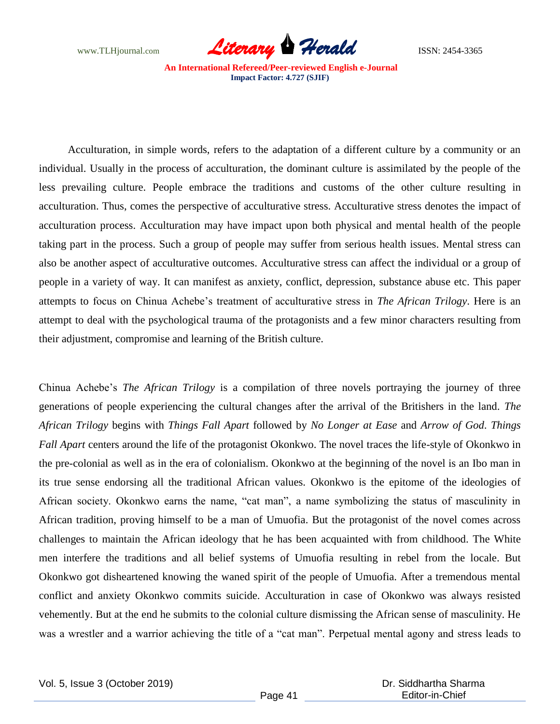www.TLHjournal.com *Literary Herald*ISSN: 2454-3365

Acculturation, in simple words, refers to the adaptation of a different culture by a community or an individual. Usually in the process of acculturation, the dominant culture is assimilated by the people of the less prevailing culture. People embrace the traditions and customs of the other culture resulting in acculturation. Thus, comes the perspective of acculturative stress. Acculturative stress denotes the impact of acculturation process. Acculturation may have impact upon both physical and mental health of the people taking part in the process. Such a group of people may suffer from serious health issues. Mental stress can also be another aspect of acculturative outcomes. Acculturative stress can affect the individual or a group of people in a variety of way. It can manifest as anxiety, conflict, depression, substance abuse etc. This paper attempts to focus on Chinua Achebe"s treatment of acculturative stress in *The African Trilogy*. Here is an attempt to deal with the psychological trauma of the protagonists and a few minor characters resulting from their adjustment, compromise and learning of the British culture.

Chinua Achebe"s *The African Trilogy* is a compilation of three novels portraying the journey of three generations of people experiencing the cultural changes after the arrival of the Britishers in the land. *The African Trilogy* begins with *Things Fall Apart* followed by *No Longer at Ease* and *Arrow of God*. *Things Fall Apart* centers around the life of the protagonist Okonkwo. The novel traces the life-style of Okonkwo in the pre-colonial as well as in the era of colonialism. Okonkwo at the beginning of the novel is an Ibo man in its true sense endorsing all the traditional African values. Okonkwo is the epitome of the ideologies of African society. Okonkwo earns the name, "cat man", a name symbolizing the status of masculinity in African tradition, proving himself to be a man of Umuofia. But the protagonist of the novel comes across challenges to maintain the African ideology that he has been acquainted with from childhood. The White men interfere the traditions and all belief systems of Umuofia resulting in rebel from the locale. But Okonkwo got disheartened knowing the waned spirit of the people of Umuofia. After a tremendous mental conflict and anxiety Okonkwo commits suicide. Acculturation in case of Okonkwo was always resisted vehemently. But at the end he submits to the colonial culture dismissing the African sense of masculinity. He was a wrestler and a warrior achieving the title of a "cat man". Perpetual mental agony and stress leads to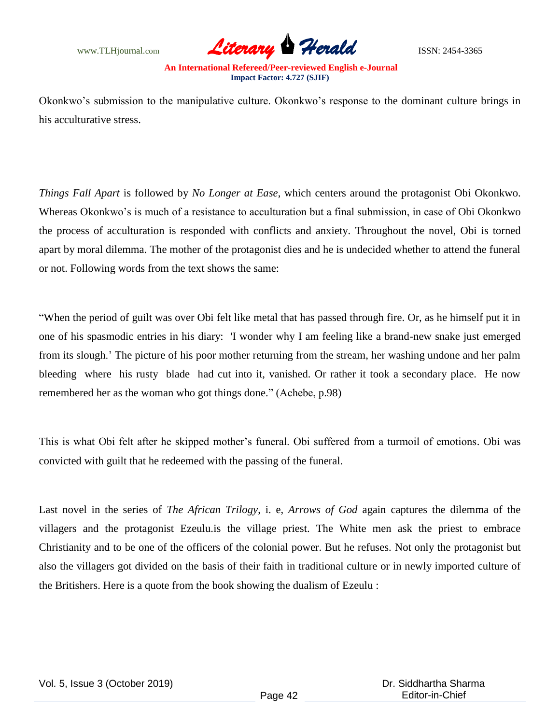www.TLHjournal.com **Literary Herald Herald** ISSN: 2454-3365

Okonkwo"s submission to the manipulative culture. Okonkwo"s response to the dominant culture brings in his acculturative stress.

*Things Fall Apart* is followed by *No Longer at Ease*, which centers around the protagonist Obi Okonkwo. Whereas Okonkwo's is much of a resistance to acculturation but a final submission, in case of Obi Okonkwo the process of acculturation is responded with conflicts and anxiety. Throughout the novel, Obi is torned apart by moral dilemma. The mother of the protagonist dies and he is undecided whether to attend the funeral or not. Following words from the text shows the same:

"When the period of guilt was over Obi felt like metal that has passed through fire. Or, as he himself put it in one of his spasmodic entries in his diary: 'I wonder why I am feeling like a brand-new snake just emerged from its slough." The picture of his poor mother returning from the stream, her washing undone and her palm bleeding where his rusty blade had cut into it, vanished. Or rather it took a secondary place. He now remembered her as the woman who got things done." (Achebe, p.98)

This is what Obi felt after he skipped mother"s funeral. Obi suffered from a turmoil of emotions. Obi was convicted with guilt that he redeemed with the passing of the funeral.

Last novel in the series of *The African Trilogy*, i. e, *Arrows of God* again captures the dilemma of the villagers and the protagonist Ezeulu.is the village priest. The White men ask the priest to embrace Christianity and to be one of the officers of the colonial power. But he refuses. Not only the protagonist but also the villagers got divided on the basis of their faith in traditional culture or in newly imported culture of the Britishers. Here is a quote from the book showing the dualism of Ezeulu :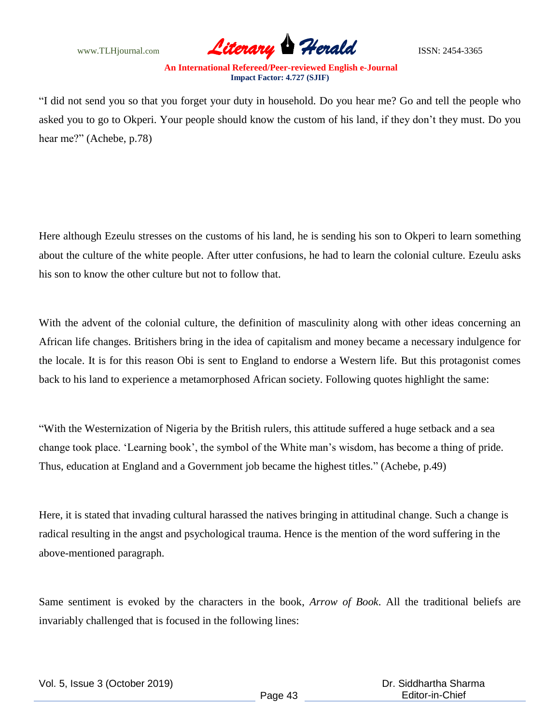

"I did not send you so that you forget your duty in household. Do you hear me? Go and tell the people who asked you to go to Okperi. Your people should know the custom of his land, if they don"t they must. Do you hear me?" (Achebe, p.78)

Here although Ezeulu stresses on the customs of his land, he is sending his son to Okperi to learn something about the culture of the white people. After utter confusions, he had to learn the colonial culture. Ezeulu asks his son to know the other culture but not to follow that.

With the advent of the colonial culture, the definition of masculinity along with other ideas concerning an African life changes. Britishers bring in the idea of capitalism and money became a necessary indulgence for the locale. It is for this reason Obi is sent to England to endorse a Western life. But this protagonist comes back to his land to experience a metamorphosed African society. Following quotes highlight the same:

"With the Westernization of Nigeria by the British rulers, this attitude suffered a huge setback and a sea change took place. "Learning book", the symbol of the White man"s wisdom, has become a thing of pride. Thus, education at England and a Government job became the highest titles." (Achebe, p.49)

Here, it is stated that invading cultural harassed the natives bringing in attitudinal change. Such a change is radical resulting in the angst and psychological trauma. Hence is the mention of the word suffering in the above-mentioned paragraph.

Same sentiment is evoked by the characters in the book, *Arrow of Book*. All the traditional beliefs are invariably challenged that is focused in the following lines: